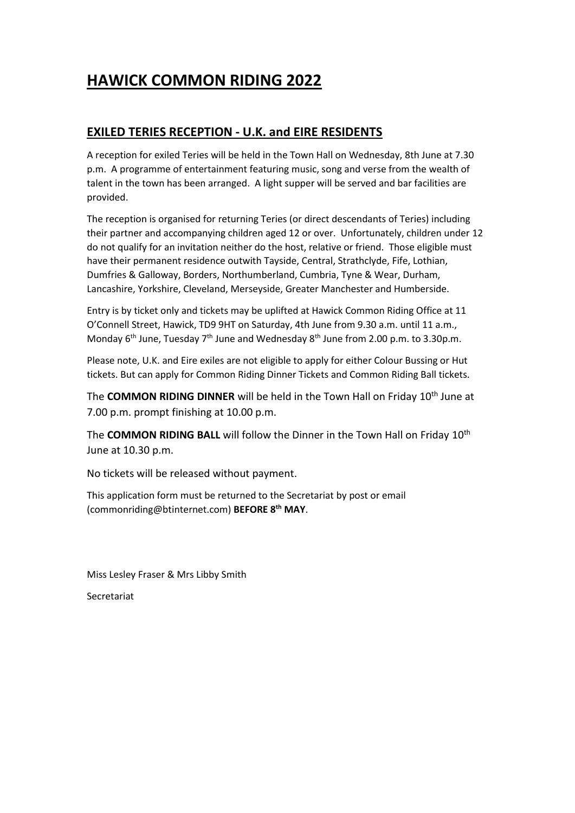## **HAWICK COMMON RIDING 2022**

## **EXILED TERIES RECEPTION - U.K. and EIRE RESIDENTS**

A reception for exiled Teries will be held in the Town Hall on Wednesday, 8th June at 7.30 p.m. A programme of entertainment featuring music, song and verse from the wealth of talent in the town has been arranged. A light supper will be served and bar facilities are provided.

The reception is organised for returning Teries (or direct descendants of Teries) including their partner and accompanying children aged 12 or over. Unfortunately, children under 12 do not qualify for an invitation neither do the host, relative or friend. Those eligible must have their permanent residence outwith Tayside, Central, Strathclyde, Fife, Lothian, Dumfries & Galloway, Borders, Northumberland, Cumbria, Tyne & Wear, Durham, Lancashire, Yorkshire, Cleveland, Merseyside, Greater Manchester and Humberside.

Entry is by ticket only and tickets may be uplifted at Hawick Common Riding Office at 11 O'Connell Street, Hawick, TD9 9HT on Saturday, 4th June from 9.30 a.m. until 11 a.m., Monday 6<sup>th</sup> June, Tuesday 7<sup>th</sup> June and Wednesday 8<sup>th</sup> June from 2.00 p.m. to 3.30p.m.

Please note, U.K. and Eire exiles are not eligible to apply for either Colour Bussing or Hut tickets. But can apply for Common Riding Dinner Tickets and Common Riding Ball tickets.

The **COMMON RIDING DINNER** will be held in the Town Hall on Friday 10th June at 7.00 p.m. prompt finishing at 10.00 p.m.

The **COMMON RIDING BALL** will follow the Dinner in the Town Hall on Friday 10th June at 10.30 p.m.

No tickets will be released without payment.

This application form must be returned to the Secretariat by post or email (commonriding@btinternet.com) **BEFORE 8 th MAY**.

Miss Lesley Fraser & Mrs Libby Smith

Secretariat